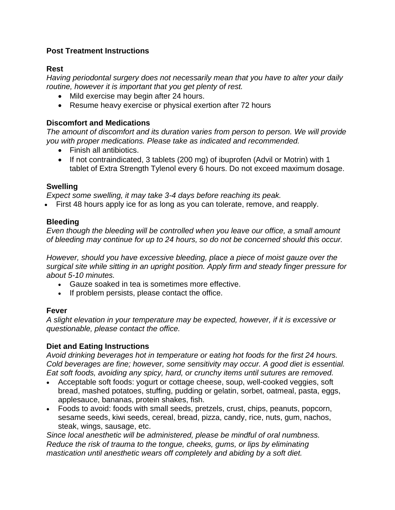# **Post Treatment Instructions**

# **Rest**

*Having periodontal surgery does not necessarily mean that you have to alter your daily routine, however it is important that you get plenty of rest.* 

- Mild exercise may begin after 24 hours.
- Resume heavy exercise or physical exertion after 72 hours

### **Discomfort and Medications**

*The amount of discomfort and its duration varies from person to person. We will provide you with proper medications. Please take as indicated and recommended.*

- Finish all antibiotics.
- If not contraindicated, 3 tablets (200 mg) of ibuprofen (Advil or Motrin) with 1 tablet of Extra Strength Tylenol every 6 hours. Do not exceed maximum dosage.

### **Swelling**

*Expect some swelling, it may take 3-4 days before reaching its peak.*

• First 48 hours apply ice for as long as you can tolerate, remove, and reapply.

### **Bleeding**

*Even though the bleeding will be controlled when you leave our office, a small amount of bleeding may continue for up to 24 hours, so do not be concerned should this occur.* 

*However, should you have excessive bleeding, place a piece of moist gauze over the surgical site while sitting in an upright position. Apply firm and steady finger pressure for about 5-10 minutes.* 

- Gauze soaked in tea is sometimes more effective.
- If problem persists, please contact the office.

#### **Fever**

*A slight elevation in your temperature may be expected, however, if it is excessive or questionable, please contact the office.* 

# **Diet and Eating Instructions**

*Avoid drinking beverages hot in temperature or eating hot foods for the first 24 hours. Cold beverages are fine; however, some sensitivity may occur. A good diet is essential. Eat soft foods, avoiding any spicy, hard, or crunchy items until sutures are removed.* 

- Acceptable soft foods: yogurt or cottage cheese, soup, well-cooked veggies, soft bread, mashed potatoes, stuffing, pudding or gelatin, sorbet, oatmeal, pasta, eggs, applesauce, bananas, protein shakes, fish.
- Foods to avoid: foods with small seeds, pretzels, crust, chips, peanuts, popcorn, sesame seeds, kiwi seeds, cereal, bread, pizza, candy, rice, nuts, gum, nachos, steak, wings, sausage, etc.

*Since local anesthetic will be administered, please be mindful of oral numbness. Reduce the risk of trauma to the tongue, cheeks, gums, or lips by eliminating mastication until anesthetic wears off completely and abiding by a soft diet.*